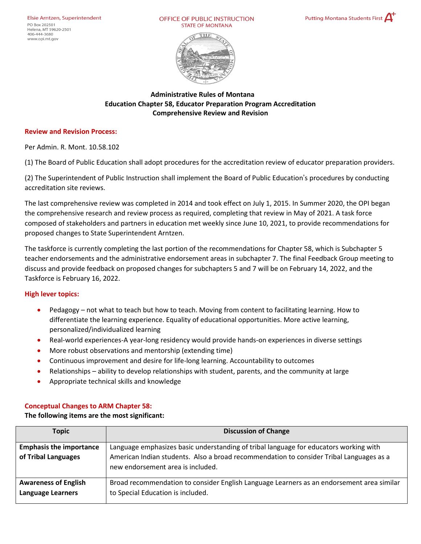Helena, MT 59620-2501 406-444-3680 www.opi.mt.gov

OFFICE OF PUBLIC INSTRUCTION **STATE OF MONTANA** 





**Administrative Rules of Montana Education Chapter 58, Educator Preparation Program Accreditation Comprehensive Review and Revision**

#### **Review and Revision Process:**

Per Admin. R. Mont. 10.58.102

(1) The Board of Public Education shall adopt procedures for the accreditation review of educator preparation providers.

(2) The Superintendent of Public Instruction shall implement the Board of Public Education's procedures by conducting accreditation site reviews.

The last comprehensive review was completed in 2014 and took effect on July 1, 2015. In Summer 2020, the OPI began the comprehensive research and review process as required, completing that review in May of 2021. A task force composed of stakeholders and partners in education met weekly since June 10, 2021, to provide recommendations for proposed changes to State Superintendent Arntzen.

The taskforce is currently completing the last portion of the recommendations for Chapter 58, which is Subchapter 5 teacher endorsements and the administrative endorsement areas in subchapter 7. The final Feedback Group meeting to discuss and provide feedback on proposed changes for subchapters 5 and 7 will be on February 14, 2022, and the Taskforce is February 16, 2022.

#### **High lever topics:**

- Pedagogy not what to teach but how to teach. Moving from content to facilitating learning. How to differentiate the learning experience. Equality of educational opportunities. More active learning, personalized/individualized learning
- Real-world experiences-A year-long residency would provide hands-on experiences in diverse settings
- More robust observations and mentorship (extending time)
- Continuous improvement and desire for life-long learning. Accountability to outcomes
- Relationships ability to develop relationships with student, parents, and the community at large
- Appropriate technical skills and knowledge

### **Conceptual Changes to ARM Chapter 58:**

### **The following items are the most significant:**

| <b>Topic</b>                                            | <b>Discussion of Change</b>                                                                                                                                                                                           |
|---------------------------------------------------------|-----------------------------------------------------------------------------------------------------------------------------------------------------------------------------------------------------------------------|
| <b>Emphasis the importance</b><br>of Tribal Languages   | Language emphasizes basic understanding of tribal language for educators working with<br>American Indian students. Also a broad recommendation to consider Tribal Languages as a<br>new endorsement area is included. |
| <b>Awareness of English</b><br><b>Language Learners</b> | Broad recommendation to consider English Language Learners as an endorsement area similar<br>to Special Education is included.                                                                                        |